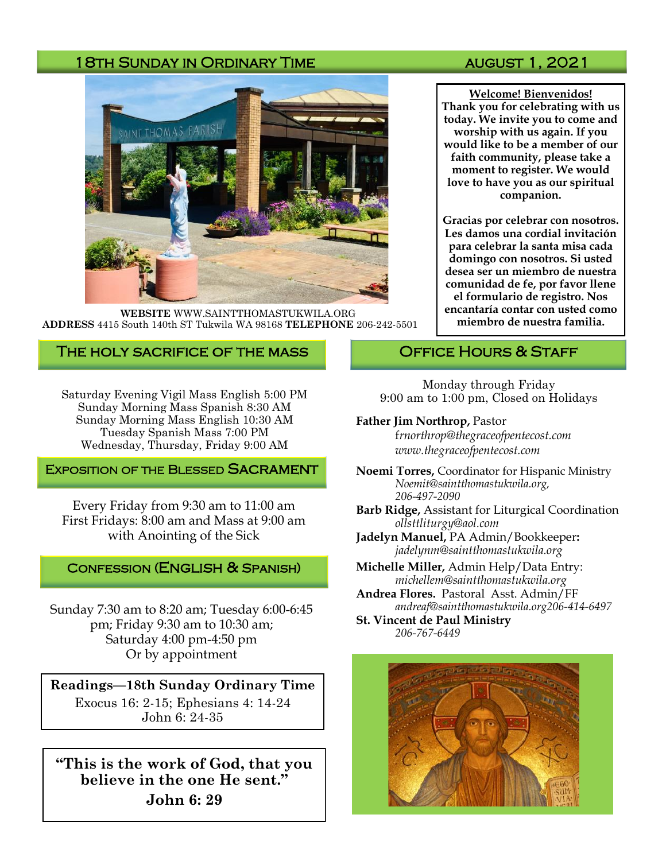# 18TH SUNDAY IN ORDINARY TIME AUGUST 1, 2021



**WEBSITE** WWW.SAINTTHOMASTUKWILA.ORG **ADDRESS** 4415 South 140th ST Tukwila WA 98168 **TELEPHONE** 206-242-5501

### The holy sacrifice of the mass

Saturday Evening Vigil Mass English 5:00 PM Sunday Morning Mass Spanish 8:30 AM Sunday Morning Mass English 10:30 AM Tuesday Spanish Mass 7:00 PM Wednesday, Thursday, Friday 9:00 AM

### **EXPOSITION OF THE BLESSED SACRAMENT**

Every Friday from 9:30 am to 11:00 am First Fridays: 8:00 am and Mass at 9:00 am with Anointing of the Sick

### Confession (English & Spanish)

Sunday 7:30 am to 8:20 am; Tuesday 6:00-6:45 pm; Friday 9:30 am to 10:30 am; Saturday 4:00 pm-4:50 pm Or by appointment

**Readings—18th Sunday Ordinary Time** Exocus 16: 2-15; Ephesians 4: 14-24 John 6: 24-35

**"This is the work of God, that you believe in the one He sent." John 6: 29**

**Welcome! Bienvenidos! Thank you for celebrating with us today. We invite you to come and worship with us again. If you would like to be a member of our faith community, please take a moment to register. We would love to have you as our spiritual companion.** 

**Gracias por celebrar con nosotros. Les damos una cordial invitación para celebrar la santa misa cada domingo con nosotros. Si usted desea ser un miembro de nuestra comunidad de fe, por favor llene el formulario de registro. Nos encantaría contar con usted como miembro de nuestra familia.**

### OFFICE HOURS & STAFF

Monday through Friday 9:00 am to 1:00 pm, Closed on Holidays

### **Father Jim Northrop,** Pastor

f*rnorthrop@thegraceofpentecost.com www.thegraceofpentecost.com* 

- **Noemi Torres,** Coordinator for Hispanic Ministry *Noemit@saintthomastukwila.org, 206-497-2090*
- **Barb Ridge,** Assistant for Liturgical Coordination *ollsttliturgy@aol.com*
- **Jadelyn Manuel,** PA Admin/Bookkeeper**:**  *jadelynm@saintthomastukwila.org*
- **Michelle Miller,** Admin Help/Data Entry: *michellem@saintthomastukwila.org*
- **Andrea Flores.** Pastoral Asst. Admin/FF *andreaf@saintthomastukwila.org206-414-6497*

**St. Vincent de Paul Ministry** *206-767-6449*

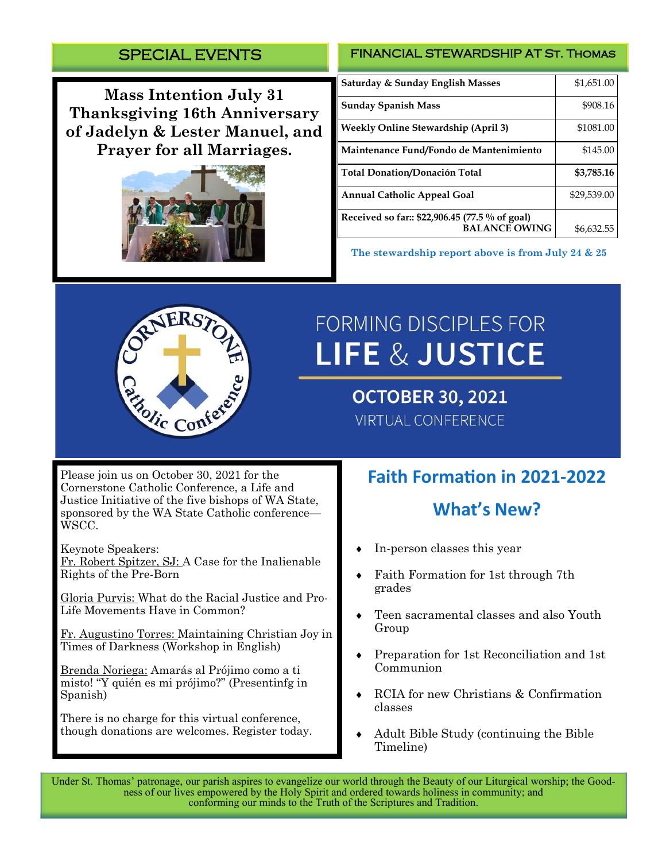# SPECIAL EVENTS

**Mass Intention July 31 Thanksgiving 16th Anniversary of Jadelyn & Lester Manuel, and Prayer for all Marriages.** 



### FINANCIAL STEWARDSHIP AT St. Thomas

| Saturday & Sunday English Masses                                       | \$1,651.00  |
|------------------------------------------------------------------------|-------------|
| <b>Sunday Spanish Mass</b>                                             | \$908.16    |
| <b>Weekly Online Stewardship (April 3)</b>                             | \$1081.00   |
| Maintenance Fund/Fondo de Mantenimiento                                | \$145.00    |
| <b>Total Donation/Donación Total</b>                                   | \$3,785.16  |
| <b>Annual Catholic Appeal Goal</b>                                     | \$29,539.00 |
| Received so far:: \$22,906.45 (77.5 % of goal)<br><b>BALANCE OWING</b> | \$6,632.55  |

**The stewardship report above is from July 24 & 25**



# **FORMING DISCIPLES FOR LIFE & JUSTICE**

**OCTOBER 30, 2021 VIRTUAL CONFERENCE** 

Please join us on October 30, 2021 for the Cornerstone Catholic Conference, a Life and Justice Initiative of the five bishops of WA State, sponsored by the WA State Catholic conference— WSCC.

Keynote Speakers:

Fr. Robert Spitzer, SJ: A Case for the Inalienable Rights of the Pre-Born

Gloria Purvis: What do the Racial Justice and Pro-Life Movements Have in Common?

Fr. Augustino Torres: Maintaining Christian Joy in Times of Darkness (Workshop in English)

Brenda Noriega: Amarás al Prójimo como a ti misto! "Y quién es mi prójimo?" (Presentinfg in Spanish)

There is no charge for this virtual conference, though donations are welcomes. Register today.

# **Faith Formation in 2021-2022**

# **What's New?**

- In-person classes this year
- Faith Formation for 1st through 7th grades
- Teen sacramental classes and also Youth Group
- Preparation for 1st Reconciliation and 1st Communion
- RCIA for new Christians & Confirmation classes
- Adult Bible Study (continuing the Bible Timeline)

Under St. Thomas' patronage, our parish aspires to evangelize our world through the Beauty of our Liturgical worship; the Goodness of our lives empowered by the Holy Spirit and ordered towards holiness in community; and conforming our minds to the Truth of the Scriptures and Tradition.